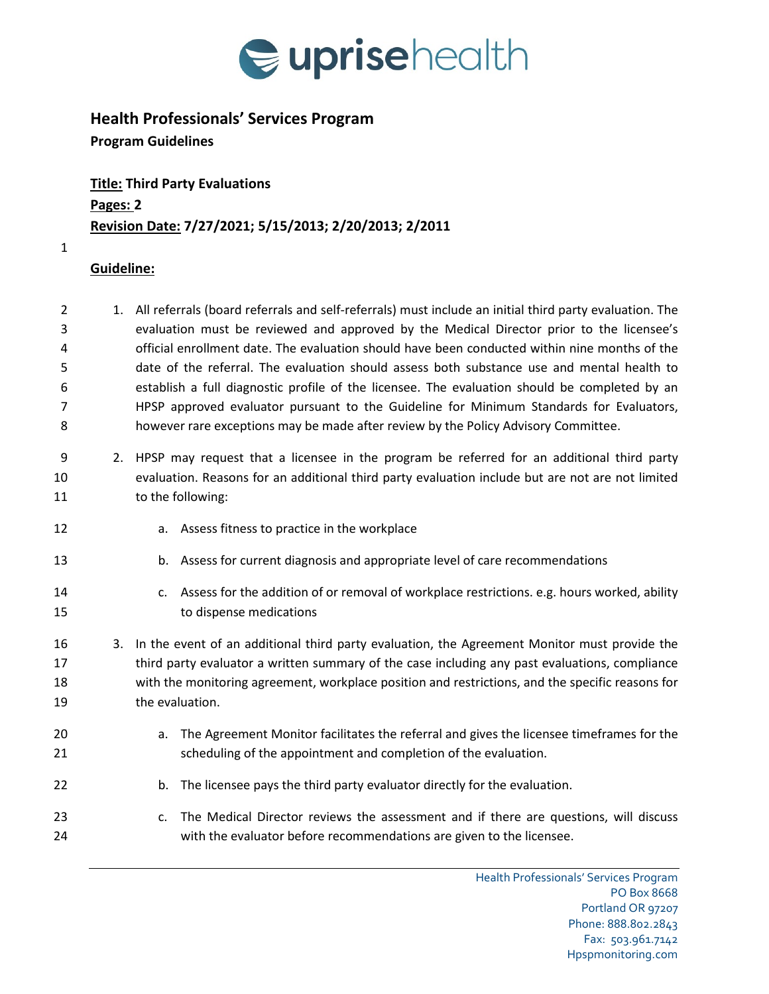

## **Health Professionals' Services Program**

**Program Guidelines**

**Title: Third Party Evaluations Pages: 2 Revision Date: 7/27/2021; 5/15/2013; 2/20/2013; 2/2011**

## **Guideline:**

- 1. All referrals (board referrals and self-referrals) must include an initial third party evaluation. The evaluation must be reviewed and approved by the Medical Director prior to the licensee's official enrollment date. The evaluation should have been conducted within nine months of the date of the referral. The evaluation should assess both substance use and mental health to establish a full diagnostic profile of the licensee. The evaluation should be completed by an HPSP approved evaluator pursuant to the Guideline for Minimum Standards for Evaluators, however rare exceptions may be made after review by the Policy Advisory Committee.
- 2. HPSP may request that a licensee in the program be referred for an additional third party evaluation. Reasons for an additional third party evaluation include but are not are not limited 11 to the following:
- a. Assess fitness to practice in the workplace
- b. Assess for current diagnosis and appropriate level of care recommendations
- c. Assess for the addition of or removal of workplace restrictions. e.g. hours worked, ability to dispense medications
- 3. In the event of an additional third party evaluation, the Agreement Monitor must provide the third party evaluator a written summary of the case including any past evaluations, compliance with the monitoring agreement, workplace position and restrictions, and the specific reasons for the evaluation.
- a. The Agreement Monitor facilitates the referral and gives the licensee timeframes for the scheduling of the appointment and completion of the evaluation.
- b. The licensee pays the third party evaluator directly for the evaluation.
- c. The Medical Director reviews the assessment and if there are questions, will discuss with the evaluator before recommendations are given to the licensee.